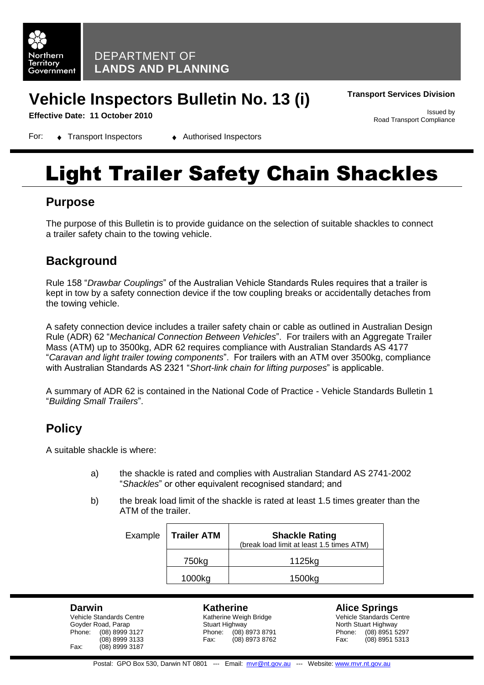

## **Vehicle Inspectors Bulletin No. 13 (i)**

**Transport Services Division**

Road Transport Compliance

Issued by

**Effective Date: 11 October 2010**

For: ◆ Transport Inspectors → Authorised Inspectors

# Light Trailer Safety Chain Shackles

### **Purpose**

The purpose of this Bulletin is to provide guidance on the selection of suitable shackles to connect a trailer safety chain to the towing vehicle.

## **Background**

Rule 158 "*Drawbar Couplings*" of the Australian Vehicle Standards Rules requires that a trailer is kept in tow by a safety connection device if the tow coupling breaks or accidentally detaches from the towing vehicle.

A safety connection device includes a trailer safety chain or cable as outlined in Australian Design Rule (ADR) 62 "*Mechanical Connection Between Vehicles*". For trailers with an Aggregate Trailer Mass (ATM) up to 3500kg, ADR 62 requires compliance with Australian Standards AS 4177 "*Caravan and light trailer towing components*". For trailers with an ATM over 3500kg, compliance with Australian Standards AS 2321 "*Short-link chain for lifting purposes*" is applicable.

A summary of ADR 62 is contained in the National Code of Practice - Vehicle Standards Bulletin 1 "*Building Small Trailers*".

## **Policy**

A suitable shackle is where:

- a) the shackle is rated and complies with Australian Standard AS 2741-2002 "*Shackles*" or other equivalent recognised standard; and
- b) the break load limit of the shackle is rated at least 1.5 times greater than the ATM of the trailer.

| Example   Trailer ATM | <b>Shackle Rating</b><br>(break load limit at least 1.5 times ATM) |  |
|-----------------------|--------------------------------------------------------------------|--|
| 750kg                 | 1125kg                                                             |  |
| 1000kg                | 1500kg                                                             |  |

#### **Darwin**

Vehicle Standards Centre Goyder Road, Parap Phone: (08) 8999 3127 (08) 8999 3133 Fax: (08) 8999 3187

#### **Katherine**

Katherine Weigh Bridge Stuart Highway Phone: (08) 8973 8791<br>Fax: (08) 8973 8762  $(08)$  8973 8762

#### **Alice Springs**

Vehicle Standards Centre North Stuart Highway Phone: (08) 8951 5297<br>Fax: (08) 8951 5313  $(08)$  8951 5313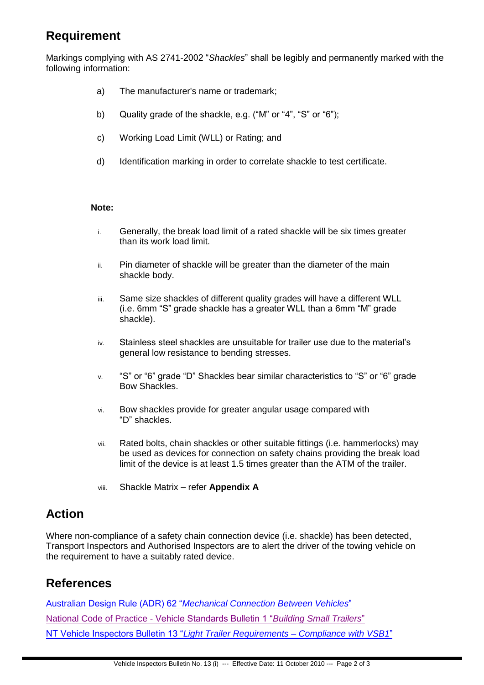## **Requirement**

Markings complying with AS 2741-2002 "*Shackles*" shall be legibly and permanently marked with the following information:

- a) The manufacturer's name or trademark;
- b) Quality grade of the shackle, e.g. ("M" or "4", "S" or "6");
- c) Working Load Limit (WLL) or Rating; and
- d) Identification marking in order to correlate shackle to test certificate.

#### **Note:**

- i. Generally, the break load limit of a rated shackle will be six times greater than its work load limit.
- ii. Pin diameter of shackle will be greater than the diameter of the main shackle body.
- iii. Same size shackles of different quality grades will have a different WLL (i.e. 6mm "S" grade shackle has a greater WLL than a 6mm "M" grade shackle).
- iv. Stainless steel shackles are unsuitable for trailer use due to the material's general low resistance to bending stresses.
- v. "S" or "6" grade "D" Shackles bear similar characteristics to "S" or "6" grade Bow Shackles.
- vi. Bow shackles provide for greater angular usage compared with "D" shackles.
- vii. Rated bolts, chain shackles or other suitable fittings (i.e. hammerlocks) may be used as devices for connection on safety chains providing the break load limit of the device is at least 1.5 times greater than the ATM of the trailer.
- viii. Shackle Matrix refer **Appendix A**

## **Action**

Where non-compliance of a safety chain connection device (i.e. shackle) has been detected, Transport Inspectors and Authorised Inspectors are to alert the driver of the towing vehicle on the requirement to have a suitably rated device.

## **References**

Australian Design Rule (ADR) 62 "*[Mechanical Connection Between Vehicles](http://www.infrastructure.gov.au/roads/motor/design/adr_online.aspx)*" National Code of Practice - [Vehicle Standards Bulletin 1 "](http://www.infrastructure.gov.au/roads/vehicle_regulation/bulletin/vsb1/index.aspx)*Building Small Trailers*" [NT Vehicle Inspectors Bulletin 13 "](http://www.transport.nt.gov.au/mvr/standards/vehicle-inspector-bulletins)*Light Trailer Requirements – Compliance with VSB1*"